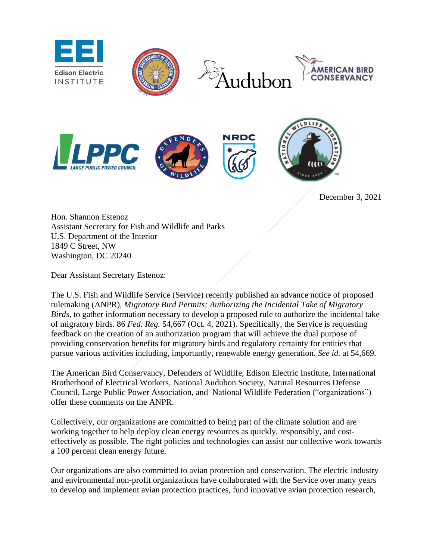

December 3, 2021

Hon. Shannon Estenoz Assistant Secretary for Fish and Wildlife and Parks U.S. Department of the Interior 1849 C Street, NW Washington, DC 20240

Dear Assistant Secretary Estenoz:

The U.S. Fish and Wildlife Service (Service) recently published an advance notice of proposed rulemaking (ANPR), *Migratory Bird Permits; Authorizing the Incidental Take of Migratory Birds*, to gather information necessary to develop a proposed rule to authorize the incidental take of migratory birds. 86 *Fed. Reg.* 54,667 (Oct. 4, 2021). Specifically, the Service is requesting feedback on the creation of an authorization program that will achieve the dual purpose of providing conservation benefits for migratory birds and regulatory certainty for entities that pursue various activities including, importantly, renewable energy generation. *See id.* at 54,669.

The American Bird Conservancy, Defenders of Wildlife, Edison Electric Institute, International Brotherhood of Electrical Workers, National Audubon Society, Natural Resources Defense Council, Large Public Power Association, and National Wildlife Federation ("organizations") offer these comments on the ANPR.

Collectively, our organizations are committed to being part of the climate solution and are working together to help deploy clean energy resources as quickly, responsibly, and costeffectively as possible. The right policies and technologies can assist our collective work towards a 100 percent clean energy future.

Our organizations are also committed to avian protection and conservation. The electric industry and environmental non-profit organizations have collaborated with the Service over many years to develop and implement avian protection practices, fund innovative avian protection research,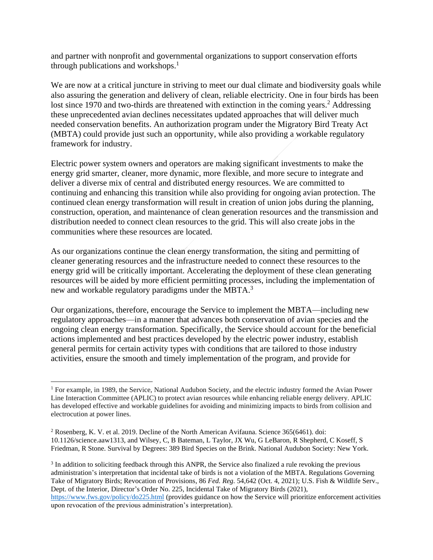and partner with nonprofit and governmental organizations to support conservation efforts through publications and workshops.<sup>1</sup>

We are now at a critical juncture in striving to meet our dual climate and biodiversity goals while also assuring the generation and delivery of clean, reliable electricity. One in four birds has been lost since 1970 and two-thirds are threatened with extinction in the coming years.<sup>2</sup> Addressing these unprecedented avian declines necessitates updated approaches that will deliver much needed conservation benefits. An authorization program under the Migratory Bird Treaty Act (MBTA) could provide just such an opportunity, while also providing a workable regulatory framework for industry.

Electric power system owners and operators are making significant investments to make the energy grid smarter, cleaner, more dynamic, more flexible, and more secure to integrate and deliver a diverse mix of central and distributed energy resources. We are committed to continuing and enhancing this transition while also providing for ongoing avian protection. The continued clean energy transformation will result in creation of union jobs during the planning, construction, operation, and maintenance of clean generation resources and the transmission and distribution needed to connect clean resources to the grid. This will also create jobs in the communities where these resources are located.

As our organizations continue the clean energy transformation, the siting and permitting of cleaner generating resources and the infrastructure needed to connect these resources to the energy grid will be critically important. Accelerating the deployment of these clean generating resources will be aided by more efficient permitting processes, including the implementation of new and workable regulatory paradigms under the MBTA.<sup>3</sup>

Our organizations, therefore, encourage the Service to implement the MBTA—including new regulatory approaches—in a manner that advances both conservation of avian species and the ongoing clean energy transformation. Specifically, the Service should account for the beneficial actions implemented and best practices developed by the electric power industry, establish general permits for certain activity types with conditions that are tailored to those industry activities, ensure the smooth and timely implementation of the program, and provide for

<sup>3</sup> In addition to soliciting feedback through this ANPR, the Service also finalized a rule revoking the previous administration's interpretation that incidental take of birds is not a violation of the MBTA. Regulations Governing Take of Migratory Birds; Revocation of Provisions, 86 *Fed. Reg.* 54,642 (Oct. 4, 2021); U.S. Fish & Wildlife Serv., Dept. of the Interior, Director's Order No. 225, Incidental Take of Migratory Birds (2021), <https://www.fws.gov/policy/do225.html> (provides guidance on how the Service will prioritize enforcement activities upon revocation of the previous administration's interpretation).

<sup>&</sup>lt;sup>1</sup> For example, in 1989, the Service, National Audubon Society, and the electric industry formed the Avian Power Line Interaction Committee (APLIC) to protect avian resources while enhancing reliable energy delivery. APLIC has developed effective and workable guidelines for avoiding and minimizing impacts to birds from collision and electrocution at power lines.

<sup>2</sup> Rosenberg, K. V. et al. 2019. Decline of the North American Avifauna. Science 365(6461). doi: 10.1126/science.aaw1313, and Wilsey, C, B Bateman, L Taylor, JX Wu, G LeBaron, R Shepherd, C Koseff, S Friedman, R Stone. Survival by Degrees: 389 Bird Species on the Brink. National Audubon Society: New York.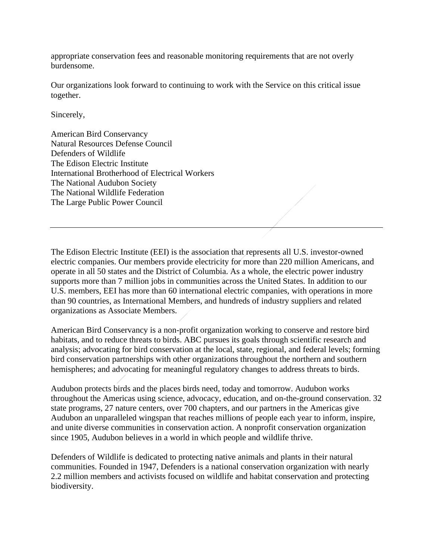appropriate conservation fees and reasonable monitoring requirements that are not overly burdensome.

Our organizations look forward to continuing to work with the Service on this critical issue together.

Sincerely,

American Bird Conservancy Natural Resources Defense Council Defenders of Wildlife The Edison Electric Institute International Brotherhood of Electrical Workers The National Audubon Society The National Wildlife Federation The Large Public Power Council

The Edison Electric Institute (EEI) is the association that represents all U.S. investor-owned electric companies. Our members provide electricity for more than 220 million Americans, and operate in all 50 states and the District of Columbia. As a whole, the electric power industry supports more than 7 million jobs in communities across the United States. In addition to our U.S. members, EEI has more than 60 international electric companies, with operations in more than 90 countries, as International Members, and hundreds of industry suppliers and related organizations as Associate Members.

American Bird Conservancy is a non-profit organization working to conserve and restore bird habitats, and to reduce threats to birds. ABC pursues its goals through scientific research and analysis; advocating for bird conservation at the local, state, regional, and federal levels; forming bird conservation partnerships with other organizations throughout the northern and southern hemispheres; and advocating for meaningful regulatory changes to address threats to birds.

Audubon protects birds and the places birds need, today and tomorrow. Audubon works throughout the Americas using science, advocacy, education, and on-the-ground conservation. 32 state programs, 27 nature centers, over 700 chapters, and our partners in the Americas give Audubon an unparalleled wingspan that reaches millions of people each year to inform, inspire, and unite diverse communities in conservation action. A nonprofit conservation organization since 1905, Audubon believes in a world in which people and wildlife thrive.

Defenders of Wildlife is dedicated to protecting native animals and plants in their natural communities. Founded in 1947, Defenders is a national conservation organization with nearly 2.2 million members and activists focused on wildlife and habitat conservation and protecting biodiversity.